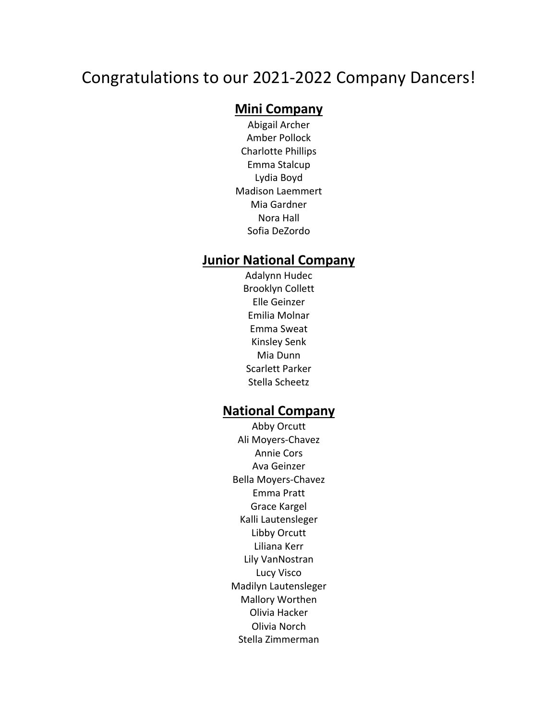# Congratulations to our 2021-2022 Company Dancers!

#### **Mini Company**

Abigail Archer Amber Pollock Charlotte Phillips Emma Stalcup Lydia Boyd Madison Laemmert Mia Gardner Nora Hall Sofia DeZordo

#### **Junior National Company**

Adalynn Hudec Brooklyn Collett Elle Geinzer Emilia Molnar Emma Sweat Kinsley Senk Mia Dunn Scarlett Parker Stella Scheetz

#### **National Company**

Abby Orcutt Ali Moyers-Chavez Annie Cors Ava Geinzer Bella Moyers-Chavez Emma Pratt Grace Kargel Kalli Lautensleger Libby Orcutt Liliana Kerr Lily VanNostran Lucy Visco Madilyn Lautensleger Mallory Worthen Olivia Hacker Olivia Norch Stella Zimmerman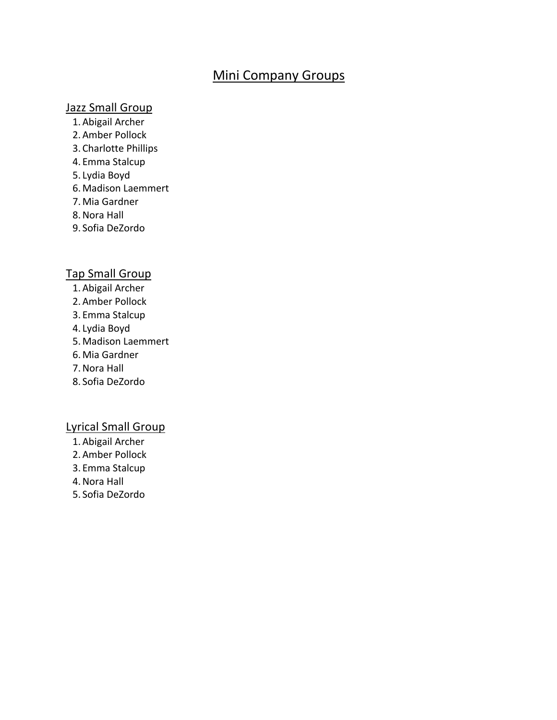## Mini Company Groups

#### Jazz Small Group

- 1.Abigail Archer
- 2.Amber Pollock
- 3. Charlotte Phillips
- 4. Emma Stalcup
- 5. Lydia Boyd
- 6.Madison Laemmert
- 7.Mia Gardner
- 8.Nora Hall
- 9. Sofia DeZordo

#### Tap Small Group

- 1.Abigail Archer
- 2.Amber Pollock
- 3. Emma Stalcup
- 4. Lydia Boyd
- 5.Madison Laemmert
- 6.Mia Gardner
- 7.Nora Hall
- 8. Sofia DeZordo

#### Lyrical Small Group

- 1.Abigail Archer
- 2.Amber Pollock
- 3. Emma Stalcup
- 4.Nora Hall
- 5. Sofia DeZordo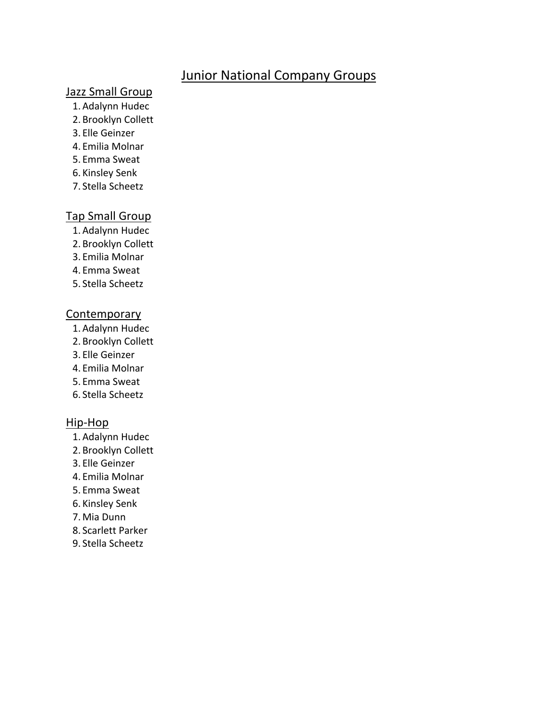## Junior National Company Groups

### Jazz Small Group

- 1.Adalynn Hudec
- 2. Brooklyn Collett
- 3. Elle Geinzer
- 4. Emilia Molnar
- 5. Emma Sweat
- 6. Kinsley Senk
- 7. Stella Scheetz

### Tap Small Group

- 1.Adalynn Hudec
- 2. Brooklyn Collett
- 3. Emilia Molnar
- 4. Emma Sweat
- 5. Stella Scheetz

#### **Contemporary**

- 1.Adalynn Hudec
- 2. Brooklyn Collett
- 3. Elle Geinzer
- 4. Emilia Molnar
- 5. Emma Sweat
- 6. Stella Scheetz

#### Hip-Hop

- 1.Adalynn Hudec
- 2. Brooklyn Collett
- 3. Elle Geinzer
- 4. Emilia Molnar
- 5. Emma Sweat
- 6. Kinsley Senk
- 7.Mia Dunn
- 8. Scarlett Parker
- 9. Stella Scheetz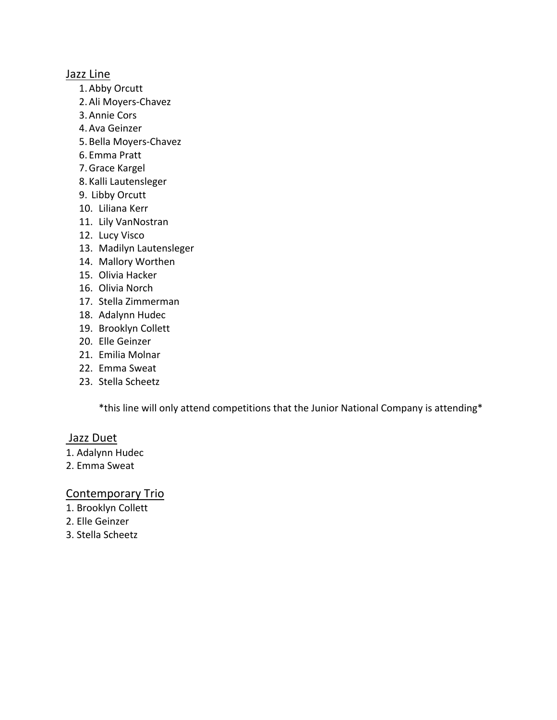#### Jazz Line

- 1.Abby Orcutt
- 2.Ali Moyers-Chavez
- 3.Annie Cors
- 4.Ava Geinzer
- 5. Bella Moyers-Chavez
- 6. Emma Pratt
- 7.Grace Kargel
- 8. Kalli Lautensleger
- 9. Libby Orcutt
- 10. Liliana Kerr
- 11. Lily VanNostran
- 12. Lucy Visco
- 13. Madilyn Lautensleger
- 14. Mallory Worthen
- 15. Olivia Hacker
- 16. Olivia Norch
- 17. Stella Zimmerman
- 18. Adalynn Hudec
- 19. Brooklyn Collett
- 20. Elle Geinzer
- 21. Emilia Molnar
- 22. Emma Sweat
- 23. Stella Scheetz

\*this line will only attend competitions that the Junior National Company is attending\*

#### Jazz Duet

- 1. Adalynn Hudec
- 2. Emma Sweat

#### Contemporary Trio

- 1. Brooklyn Collett
- 2. Elle Geinzer
- 3. Stella Scheetz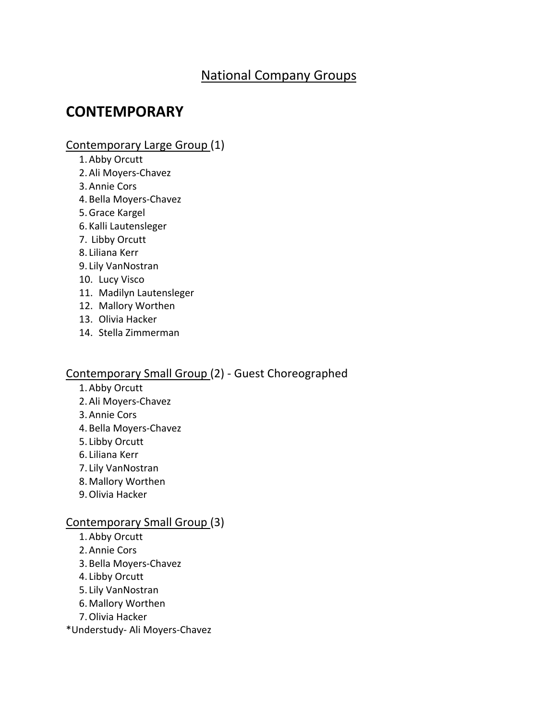# National Company Groups

# **CONTEMPORARY**

#### Contemporary Large Group (1)

- 1.Abby Orcutt
- 2.Ali Moyers-Chavez
- 3.Annie Cors
- 4. Bella Moyers-Chavez
- 5.Grace Kargel
- 6. Kalli Lautensleger
- 7. Libby Orcutt
- 8. Liliana Kerr
- 9. Lily VanNostran
- 10. Lucy Visco
- 11. Madilyn Lautensleger
- 12. Mallory Worthen
- 13. Olivia Hacker
- 14. Stella Zimmerman

#### Contemporary Small Group (2) - Guest Choreographed

- 1.Abby Orcutt
- 2.Ali Moyers-Chavez
- 3.Annie Cors
- 4. Bella Moyers-Chavez
- 5. Libby Orcutt
- 6. Liliana Kerr
- 7. Lily VanNostran
- 8.Mallory Worthen
- 9.Olivia Hacker

#### Contemporary Small Group (3)

- 1.Abby Orcutt
- 2.Annie Cors
- 3. Bella Moyers-Chavez
- 4. Libby Orcutt
- 5. Lily VanNostran
- 6.Mallory Worthen
- 7.Olivia Hacker
- \*Understudy- Ali Moyers-Chavez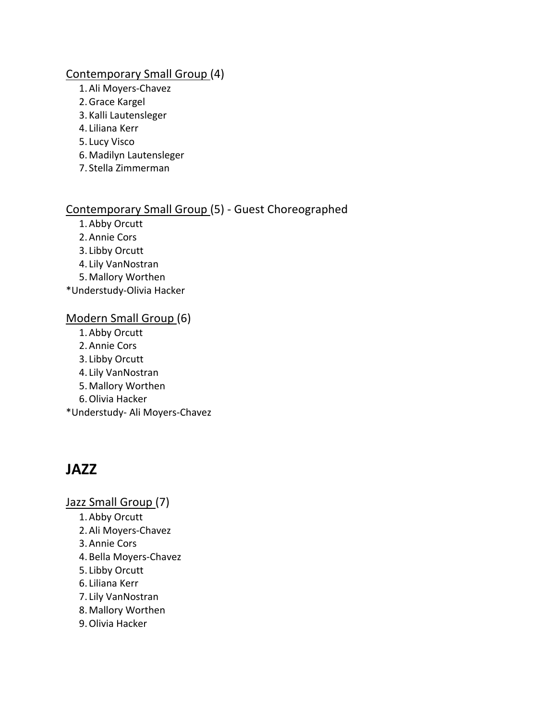#### Contemporary Small Group (4)

- 1.Ali Moyers-Chavez
- 2.Grace Kargel
- 3. Kalli Lautensleger
- 4. Liliana Kerr
- 5. Lucy Visco
- 6.Madilyn Lautensleger
- 7. Stella Zimmerman

## Contemporary Small Group (5) - Guest Choreographed

- 1.Abby Orcutt
- 2.Annie Cors
- 3. Libby Orcutt
- 4. Lily VanNostran
- 5.Mallory Worthen

\*Understudy-Olivia Hacker

#### Modern Small Group (6)

- 1.Abby Orcutt
- 2.Annie Cors
- 3. Libby Orcutt
- 4. Lily VanNostran
- 5.Mallory Worthen
- 6.Olivia Hacker

\*Understudy- Ali Moyers-Chavez

# **JAZZ**

Jazz Small Group (7)

- 1.Abby Orcutt
- 2.Ali Moyers-Chavez
- 3.Annie Cors
- 4. Bella Moyers-Chavez
- 5. Libby Orcutt
- 6. Liliana Kerr
- 7. Lily VanNostran
- 8.Mallory Worthen
- 9.Olivia Hacker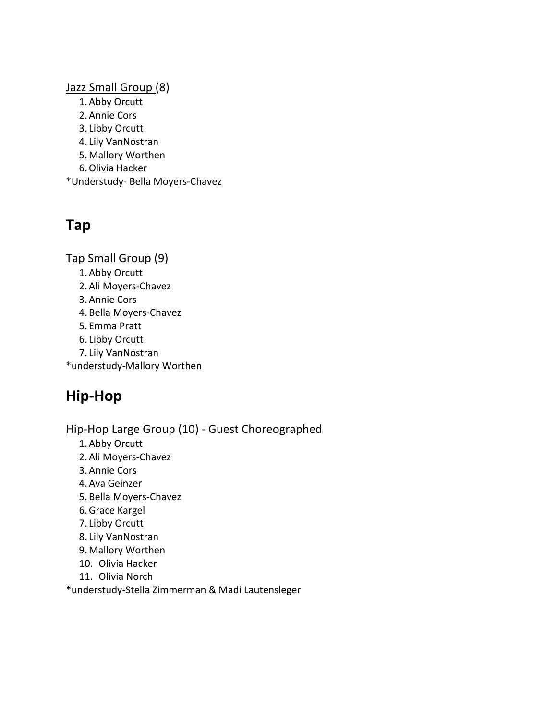#### Jazz Small Group (8)

- 1.Abby Orcutt
- 2.Annie Cors
- 3. Libby Orcutt
- 4. Lily VanNostran
- 5.Mallory Worthen
- 6.Olivia Hacker
- \*Understudy- Bella Moyers-Chavez

# **Tap**

Tap Small Group (9)

- 1.Abby Orcutt
- 2.Ali Moyers-Chavez
- 3.Annie Cors
- 4. Bella Moyers-Chavez
- 5. Emma Pratt
- 6. Libby Orcutt
- 7. Lily VanNostran
- \*understudy-Mallory Worthen

# **Hip-Hop**

# Hip-Hop Large Group (10) - Guest Choreographed

- 1.Abby Orcutt
- 2.Ali Moyers-Chavez
- 3.Annie Cors
- 4.Ava Geinzer
- 5. Bella Moyers-Chavez
- 6.Grace Kargel
- 7. Libby Orcutt
- 8. Lily VanNostran
- 9.Mallory Worthen
- 10. Olivia Hacker
- 11. Olivia Norch

\*understudy-Stella Zimmerman & Madi Lautensleger